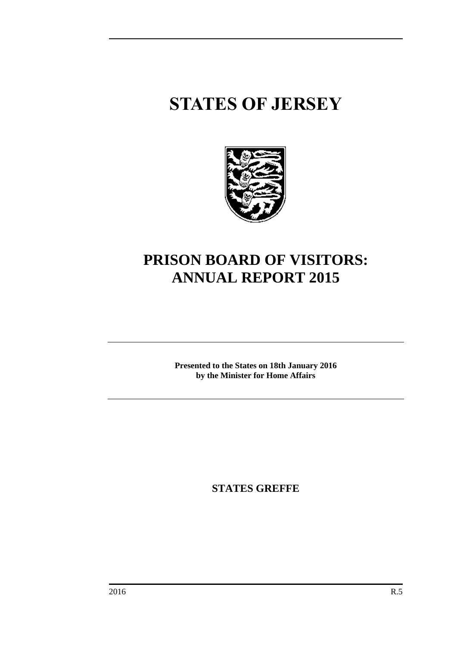## **STATES OF JERSEY**



## **PRISON BOARD OF VISITORS: ANNUAL REPORT 2015**

**Presented to the States on 18th January 2016 by the Minister for Home Affairs**

**STATES GREFFE**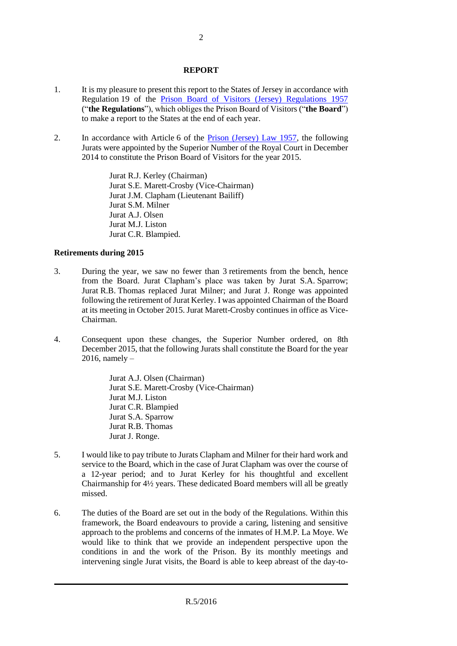## **REPORT**

- 1. It is my pleasure to present this report to the States of Jersey in accordance with Regulation 19 of the Prison Board of [Visitors \(Jersey\) Regulations 1957](http://www.jerseylaw.je/Law/display.aspx?url=lawsinforce%2fconsolidated%2f23%2f23.775.15_Prison(BoardofVisitors)Regs1957_RevisedEdition_1January2006.htm) ("**the Regulations**"), which obliges the Prison Board of Visitors ("**the Board**") to make a report to the States at the end of each year.
- 2. In accordance with Article 6 of the **Prison (Jersey) Law 1957**, the following Jurats were appointed by the Superior Number of the Royal Court in December 2014 to constitute the Prison Board of Visitors for the year 2015.

Jurat R.J. Kerley (Chairman) Jurat S.E. Marett-Crosby (Vice-Chairman) Jurat J.M. Clapham (Lieutenant Bailiff) Jurat S.M. Milner Jurat A.J. Olsen Jurat M.J. Liston Jurat C.R. Blampied.

## **Retirements during 2015**

- 3. During the year, we saw no fewer than 3 retirements from the bench, hence from the Board. Jurat Clapham's place was taken by Jurat S.A. Sparrow; Jurat R.B. Thomas replaced Jurat Milner; and Jurat J. Ronge was appointed following the retirement of Jurat Kerley. I was appointed Chairman of the Board at its meeting in October 2015. Jurat Marett-Crosby continues in office as Vice-Chairman.
- 4. Consequent upon these changes, the Superior Number ordered, on 8th December 2015, that the following Jurats shall constitute the Board for the year  $2016$ , namely –

Jurat A.J. Olsen (Chairman) Jurat S.E. Marett-Crosby (Vice-Chairman) Jurat M.J. Liston Jurat C.R. Blampied Jurat S.A. Sparrow Jurat R.B. Thomas Jurat J. Ronge.

- 5. I would like to pay tribute to Jurats Clapham and Milner for their hard work and service to the Board, which in the case of Jurat Clapham was over the course of a 12-year period; and to Jurat Kerley for his thoughtful and excellent Chairmanship for 4½ years. These dedicated Board members will all be greatly missed.
- 6. The duties of the Board are set out in the body of the Regulations. Within this framework, the Board endeavours to provide a caring, listening and sensitive approach to the problems and concerns of the inmates of H.M.P. La Moye. We would like to think that we provide an independent perspective upon the conditions in and the work of the Prison. By its monthly meetings and intervening single Jurat visits, the Board is able to keep abreast of the day-to-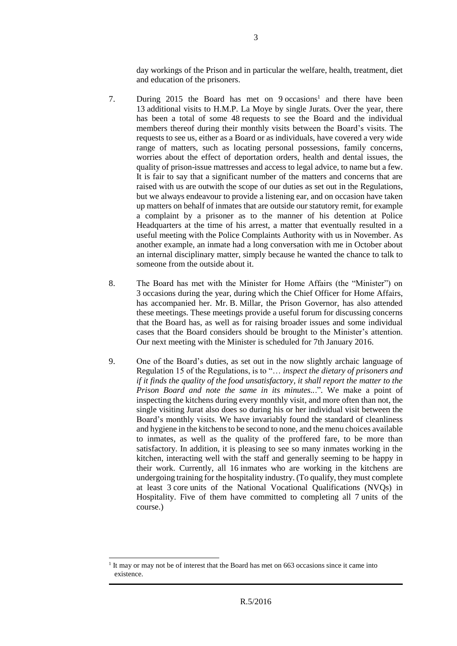day workings of the Prison and in particular the welfare, health, treatment, diet and education of the prisoners.

- 7. During 2015 the Board has met on 9 occasions<sup>1</sup> and there have been 13 additional visits to H.M.P. La Moye by single Jurats. Over the year, there has been a total of some 48 requests to see the Board and the individual members thereof during their monthly visits between the Board's visits. The requests to see us, either as a Board or as individuals, have covered a very wide range of matters, such as locating personal possessions, family concerns, worries about the effect of deportation orders, health and dental issues, the quality of prison-issue mattresses and access to legal advice, to name but a few. It is fair to say that a significant number of the matters and concerns that are raised with us are outwith the scope of our duties as set out in the Regulations, but we always endeavour to provide a listening ear, and on occasion have taken up matters on behalf of inmates that are outside our statutory remit, for example a complaint by a prisoner as to the manner of his detention at Police Headquarters at the time of his arrest, a matter that eventually resulted in a useful meeting with the Police Complaints Authority with us in November. As another example, an inmate had a long conversation with me in October about an internal disciplinary matter, simply because he wanted the chance to talk to someone from the outside about it.
- 8. The Board has met with the Minister for Home Affairs (the "Minister") on 3 occasions during the year, during which the Chief Officer for Home Affairs, has accompanied her. Mr. B. Millar, the Prison Governor, has also attended these meetings. These meetings provide a useful forum for discussing concerns that the Board has, as well as for raising broader issues and some individual cases that the Board considers should be brought to the Minister's attention. Our next meeting with the Minister is scheduled for 7th January 2016.
- 9. One of the Board's duties, as set out in the now slightly archaic language of Regulation 15 of the Regulations, is to "… *inspect the dietary of prisoners and if it finds the quality of the food unsatisfactory, it shall report the matter to the Prison Board and note the same in its minutes..*.". We make a point of inspecting the kitchens during every monthly visit, and more often than not, the single visiting Jurat also does so during his or her individual visit between the Board's monthly visits. We have invariably found the standard of cleanliness and hygiene in the kitchens to be second to none, and the menu choices available to inmates, as well as the quality of the proffered fare, to be more than satisfactory. In addition, it is pleasing to see so many inmates working in the kitchen, interacting well with the staff and generally seeming to be happy in their work. Currently, all 16 inmates who are working in the kitchens are undergoing training for the hospitality industry. (To qualify, they must complete at least 3 core units of the National Vocational Qualifications (NVQs) in Hospitality. Five of them have committed to completing all 7 units of the course.)

1

<sup>&</sup>lt;sup>1</sup> It may or may not be of interest that the Board has met on 663 occasions since it came into existence.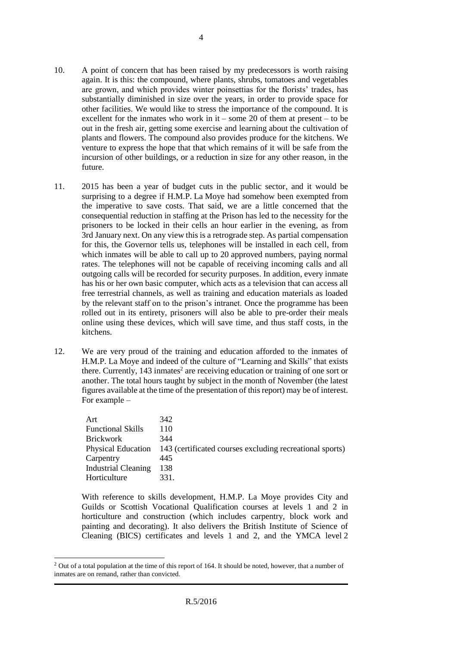- 10. A point of concern that has been raised by my predecessors is worth raising again. It is this: the compound, where plants, shrubs, tomatoes and vegetables are grown, and which provides winter poinsettias for the florists' trades, has substantially diminished in size over the years, in order to provide space for other facilities. We would like to stress the importance of the compound. It is excellent for the inmates who work in it – some 20 of them at present – to be out in the fresh air, getting some exercise and learning about the cultivation of plants and flowers. The compound also provides produce for the kitchens. We venture to express the hope that that which remains of it will be safe from the incursion of other buildings, or a reduction in size for any other reason, in the future.
- 11. 2015 has been a year of budget cuts in the public sector, and it would be surprising to a degree if H.M.P. La Moye had somehow been exempted from the imperative to save costs. That said, we are a little concerned that the consequential reduction in staffing at the Prison has led to the necessity for the prisoners to be locked in their cells an hour earlier in the evening, as from 3rd January next. On any view this is a retrograde step. As partial compensation for this, the Governor tells us, telephones will be installed in each cell, from which inmates will be able to call up to 20 approved numbers, paying normal rates. The telephones will not be capable of receiving incoming calls and all outgoing calls will be recorded for security purposes. In addition, every inmate has his or her own basic computer, which acts as a television that can access all free terrestrial channels, as well as training and education materials as loaded by the relevant staff on to the prison's intranet. Once the programme has been rolled out in its entirety, prisoners will also be able to pre-order their meals online using these devices, which will save time, and thus staff costs, in the kitchens.
- 12. We are very proud of the training and education afforded to the inmates of H.M.P. La Moye and indeed of the culture of "Learning and Skills" that exists there. Currently, 143 inmates<sup>2</sup> are receiving education or training of one sort or another. The total hours taught by subject in the month of November (the latest figures available at the time of the presentation of this report) may be of interest. For example –

| Art                        | 342                                                                         |
|----------------------------|-----------------------------------------------------------------------------|
| <b>Functional Skills</b>   | 110                                                                         |
| <b>Brickwork</b>           | 344                                                                         |
|                            | Physical Education 143 (certificated courses excluding recreational sports) |
| Carpentry                  | 445                                                                         |
| <b>Industrial Cleaning</b> | 138                                                                         |
| Horticulture               | 331.                                                                        |

With reference to skills development, H.M.P. La Moye provides City and Guilds or Scottish Vocational Qualification courses at levels 1 and 2 in horticulture and construction (which includes carpentry, block work and painting and decorating). It also delivers the British Institute of Science of Cleaning (BICS) certificates and levels 1 and 2, and the YMCA level 2

 $\overline{a}$ 

<sup>&</sup>lt;sup>2</sup> Out of a total population at the time of this report of 164. It should be noted, however, that a number of inmates are on remand, rather than convicted.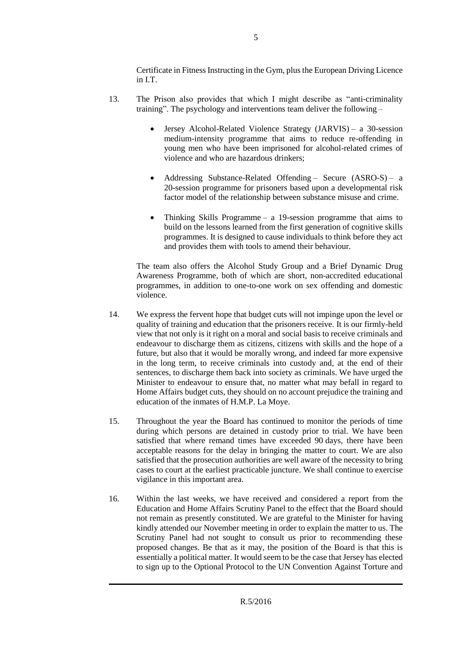Certificate in Fitness Instructing in the Gym, plus the European Driving Licence in I.T.

- 13. The Prison also provides that which I might describe as "anti-criminality training". The psychology and interventions team deliver the following –
	- Jersey Alcohol-Related Violence Strategy (JARVIS) a 30-session medium-intensity programme that aims to reduce re-offending in young men who have been imprisoned for alcohol-related crimes of violence and who are hazardous drinkers;
	- Addressing Substance-Related Offending Secure (ASRO-S) a 20-session programme for prisoners based upon a developmental risk factor model of the relationship between substance misuse and crime.
	- Thinking Skills Programme a 19-session programme that aims to build on the lessons learned from the first generation of cognitive skills programmes. It is designed to cause individuals to think before they act and provides them with tools to amend their behaviour.

The team also offers the Alcohol Study Group and a Brief Dynamic Drug Awareness Programme, both of which are short, non-accredited educational programmes, in addition to one-to-one work on sex offending and domestic violence.

- 14. We express the fervent hope that budget cuts will not impinge upon the level or quality of training and education that the prisoners receive. It is our firmly-held view that not only is it right on a moral and social basis to receive criminals and endeavour to discharge them as citizens, citizens with skills and the hope of a future, but also that it would be morally wrong, and indeed far more expensive in the long term, to receive criminals into custody and, at the end of their sentences, to discharge them back into society as criminals. We have urged the Minister to endeavour to ensure that, no matter what may befall in regard to Home Affairs budget cuts, they should on no account prejudice the training and education of the inmates of H.M.P. La Moye.
- 15. Throughout the year the Board has continued to monitor the periods of time during which persons are detained in custody prior to trial. We have been satisfied that where remand times have exceeded 90 days, there have been acceptable reasons for the delay in bringing the matter to court. We are also satisfied that the prosecution authorities are well aware of the necessity to bring cases to court at the earliest practicable juncture. We shall continue to exercise vigilance in this important area.
- 16. Within the last weeks, we have received and considered a report from the Education and Home Affairs Scrutiny Panel to the effect that the Board should not remain as presently constituted. We are grateful to the Minister for having kindly attended our November meeting in order to explain the matter to us. The Scrutiny Panel had not sought to consult us prior to recommending these proposed changes. Be that as it may, the position of the Board is that this is essentially a political matter. It would seem to be the case that Jersey has elected to sign up to the Optional Protocol to the UN Convention Against Torture and